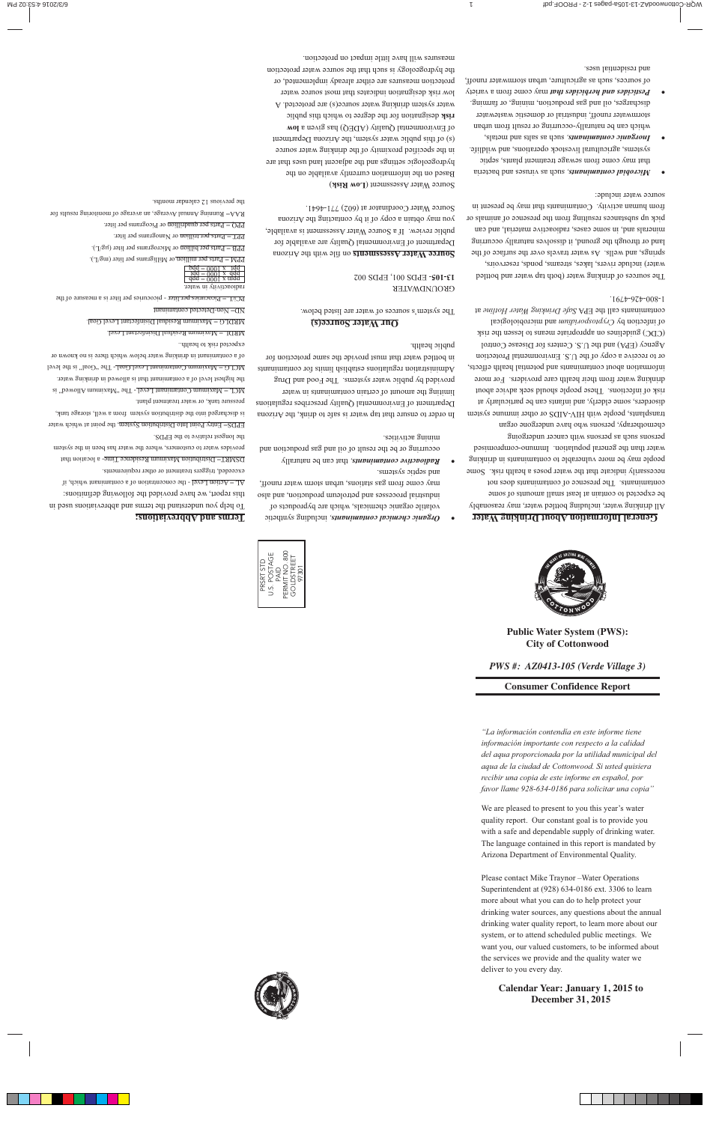

# **Public Water System (PWS): City of Cottonwood**

# *PWS #: AZ0413-105 (Verde Village 3)*

## **Consumer Confidence Report**

*"La información contendía en este informe tiene información importante con respecto a la calidad del aqua proporcionada por la utilidad municipal del aqua de la ciudad de Cottonwood. Si usted quisiera recibir una copia de este informe en español, por favor llame 928-634-0186 para solicitar una copia"*

We are pleased to present to you this year's water quality report. Our constant goal is to provide you with a safe and dependable supply of drinking water. The language contained in this report is mandated by Arizona Department of Environmental Quality.

Please contact Mike Traynor –Water Operations Superintendent at (928) 634-0186 ext. 3306 to learn more about what you can do to help protect your drinking water sources, any questions about the annual drinking water quality report, to learn more about our system, or to attend scheduled public meetings. We want you, our valued customers, to be informed about the services we provide and the quality water we deliver to you every day.

# **Calendar Year: January 1, 2015 to December 31, 2015**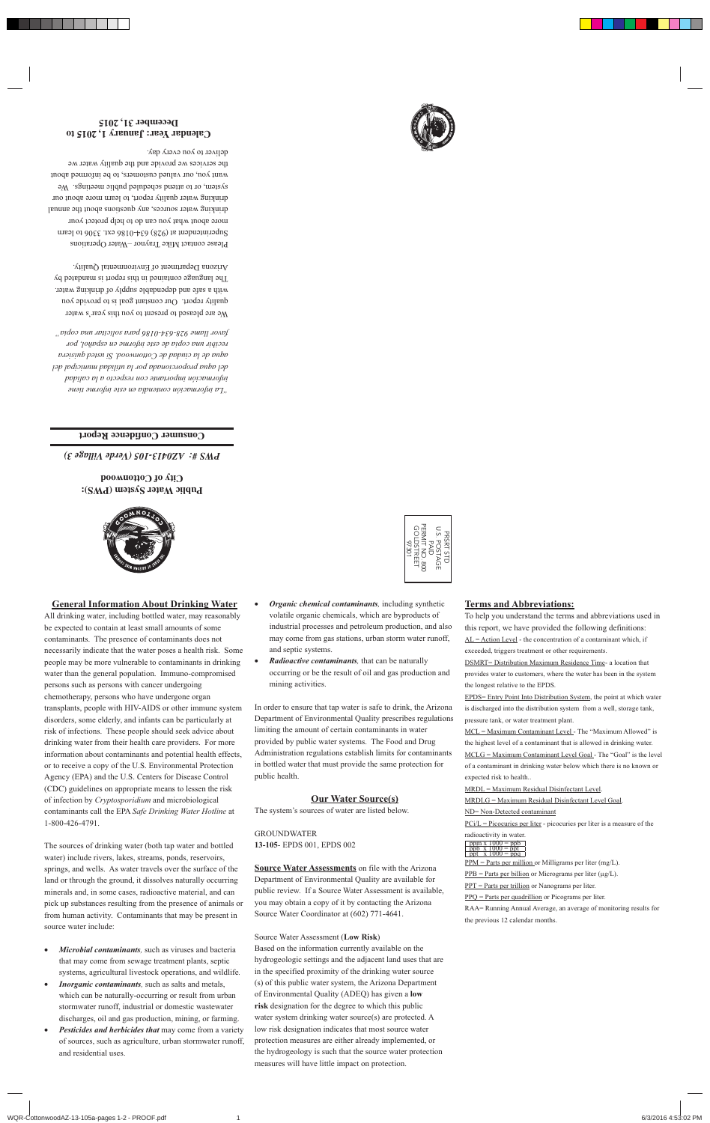### **General Information About Drinking Water**

All drinking water, including bottled water, may reasonably be expected to contain at least small amounts of some contaminants. The presence of contaminants does not necessarily indicate that the water poses a health risk. Some people may be more vulnerable to contaminants in drinking water than the general population. Immuno-compromised persons such as persons with cancer undergoing chemotherapy, persons who have undergone organ transplants, people with HIV-AIDS or other immune system disorders, some elderly, and infants can be particularly at risk of infections. These people should seek advice about drinking water from their health care providers. For more information about contaminants and potential health effects, or to receive a copy of the U.S. Environmental Protection Agency (EPA) and the U.S. Centers for Disease Control (CDC) guidelines on appropriate means to lessen the risk of infection by *Cryptosporidium* and microbiological contaminants call the EPA *Safe Drinking Water Hotline* at 1-800-426-4791.

The sources of drinking water (both tap water and bottled water) include rivers, lakes, streams, ponds, reservoirs, springs, and wells. As water travels over the surface of the land or through the ground, it dissolves naturally occurring minerals and, in some cases, radioactive material, and can pick up substances resulting from the presence of animals or from human activity. Contaminants that may be present in source water include:

- *Microbial contaminants,* such as viruses and bacteria that may come from sewage treatment plants, septic systems, agricultural livestock operations, and wildlife*.*
- *Inorganic contaminants,* such as salts and metals, which can be naturally-occurring or result from urban stormwater runoff, industrial or domestic wastewater discharges, oil and gas production, mining, or farming.
- *Pesticides and herbicides that* may come from a variety of sources, such as agriculture, urban stormwater runoff, and residential uses.
- *Organic chemical contaminants,* including synthetic volatile organic chemicals, which are byproducts of industrial processes and petroleum production, and also may come from gas stations, urban storm water runoff, and septic systems.
- *Radioactive contaminants,* that can be naturally occurring or be the result of oil and gas production and mining activities.

In order to ensure that tap water is safe to drink, the Arizona Department of Environmental Quality prescribes regulations limiting the amount of certain contaminants in water provided by public water systems. The Food and Drug Administration regulations establish limits for contaminants in bottled water that must provide the same protection for public health.

### **Our Water Source(s)**

The system's sources of water are listed below.

GROUNDWATER **13-105**- EPDS 001, EPDS 002

**Source Water Assessments** on file with the Arizona Department of Environmental Quality are available for public review. If a Source Water Assessment is available, you may obtain a copy of it by contacting the Arizona Source Water Coordinator at (602) 771-4641.

Source Water Assessment (**Low Risk**) Based on the information currently available on the hydrogeologic settings and the adjacent land uses that are in the specified proximity of the drinking water source (s) of this public water system, the Arizona Department of Environmental Quality (ADEQ) has given a **low risk** designation for the degree to which this public water system drinking water source(s) are protected. A low risk designation indicates that most source water protection measures are either already implemented, or the hydrogeology is such that the source water protection measures will have little impact on protection.

### **Terms and Abbreviations:**

To help you understand the terms and abbreviations used in this report, we have provided the following definitions:  $AL = Action Level - the concentration of a contaminant which, if$ exceeded, triggers treatment or other requirements.

DSMRT= Distribution Maximum Residence Time- a location that provides water to customers, where the water has been in the system the longest relative to the EPDS.

EPDS= Entry Point Into Distribution System, the point at which water is discharged into the distribution system from a well, storage tank, pressure tank, or water treatment plant.

MCL = Maximum Contaminant Level - The "Maximum Allowed" is the highest level of a contaminant that is allowed in drinking water. MCLG = Maximum Contaminant Level Goal - The "Goal" is the level of a contaminant in drinking water below which there is no known or expected risk to health..

MRDL = Maximum Residual Disinfectant Level.

MRDLG = Maximum Residual Disinfectant Level Goal.

#### ND= Non-Detected contaminant

 $PCi/L = Picocuries per liter - picocuries per liter is a measure of the$ 

radioactivity in water.



PPM = Parts per million or Milligrams per liter (mg/L).  $PPB = Parts per billion or Micrograms per liter (µg/L).$ PPT = Parts per trillion or Nanograms per liter. PPQ = Parts per quadrillion or Picograms per liter. RAA= Running Annual Average, an average of monitoring results for the previous 12 calendar months.